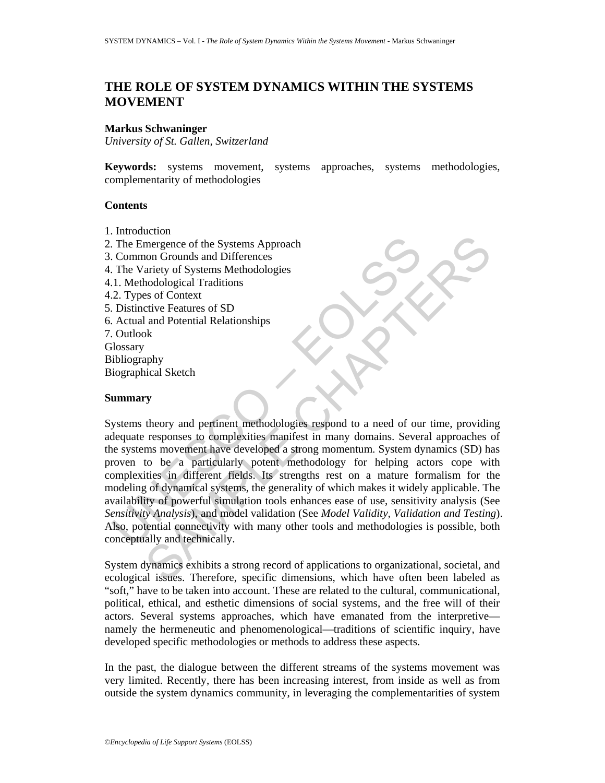# **THE ROLE OF SYSTEM DYNAMICS WITHIN THE SYSTEMS MOVEMENT**

### **Markus Schwaninger**

*University of St. Gallen, Switzerland* 

**Keywords:** systems movement, systems approaches, systems methodologies, complementarity of methodologies

## **Contents**

- 1. Introduction
- 2. The Emergence of the Systems Approach
- 3. Common Grounds and Differences
- 4. The Variety of Systems Methodologies
- 4.1. Methodological Traditions
- 4.2. Types of Context
- 5. Distinctive Features of SD
- 6. Actual and Potential Relationships
- 7. Outlook
- **Glossary**
- Bibliography
- Biographical Sketch

### **Summary**

The Emergence of the Systems Approach<br>
Common Grounds and Differences<br>
U. The Variety of Systems Methodologies<br>
2. Types of Context<br>
2. Types of Context<br>
Distinctive Features of SD<br>
2. Unlook is<br>
Coutok<br>
Unlook is<br>
Unlook Examplement of the Systems Approach<br>
and point of Systems Methodologies<br>
and podological Traditions<br>
and Potential Relationships<br>
se of Context<br>
and Potential Relationships<br>
by<br>
andy<br>
and Potential Relationships<br>
by<br>
andy<br> Systems theory and pertinent methodologies respond to a need of our time, providing adequate responses to complexities manifest in many domains. Several approaches of the systems movement have developed a strong momentum. System dynamics (SD) has proven to be a particularly potent methodology for helping actors cope with complexities in different fields. Its strengths rest on a mature formalism for the modeling of dynamical systems, the generality of which makes it widely applicable. The availability of powerful simulation tools enhances ease of use, sensitivity analysis (See *Sensitivity Analysis*), and model validation (See *Model Validity, Validation and Testing*). Also, potential connectivity with many other tools and methodologies is possible, both conceptually and technically.

System dynamics exhibits a strong record of applications to organizational, societal, and ecological issues. Therefore, specific dimensions, which have often been labeled as "soft," have to be taken into account. These are related to the cultural, communicational, political, ethical, and esthetic dimensions of social systems, and the free will of their actors. Several systems approaches, which have emanated from the interpretive namely the hermeneutic and phenomenological—traditions of scientific inquiry, have developed specific methodologies or methods to address these aspects.

In the past, the dialogue between the different streams of the systems movement was very limited. Recently, there has been increasing interest, from inside as well as from outside the system dynamics community, in leveraging the complementarities of system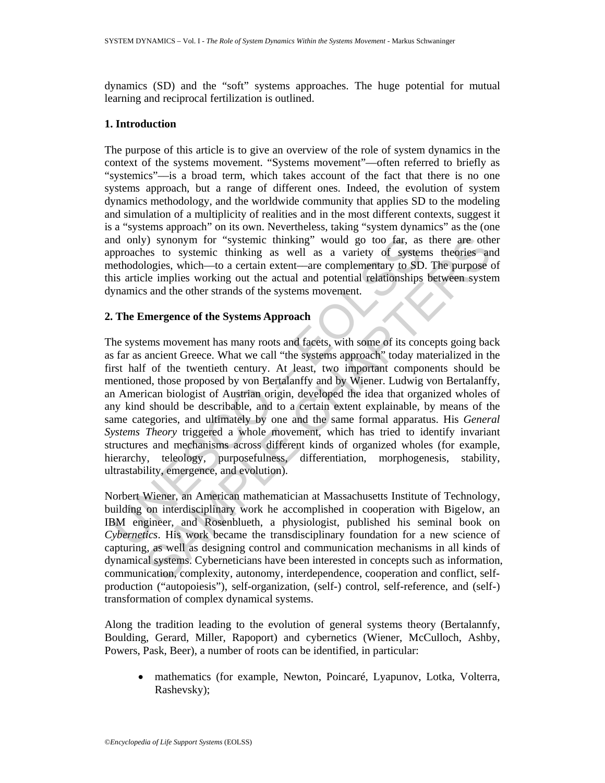dynamics (SD) and the "soft" systems approaches. The huge potential for mutual learning and reciprocal fertilization is outlined.

## **1. Introduction**

The purpose of this article is to give an overview of the role of system dynamics in the context of the systems movement. "Systems movement"––often referred to briefly as "systemics"––is a broad term, which takes account of the fact that there is no one systems approach, but a range of different ones. Indeed, the evolution of system dynamics methodology, and the worldwide community that applies SD to the modeling and simulation of a multiplicity of realities and in the most different contexts, suggest it is a "systems approach" on its own. Nevertheless, taking "system dynamics" as the (one and only) synonym for "systemic thinking" would go too far, as there are other approaches to systemic thinking as well as a variety of systems theories and methodologies, which––to a certain extent––are complementary to SD. The purpose of this article implies working out the actual and potential relationships between system dynamics and the other strands of the systems movement.

## **2. The Emergence of the Systems Approach**

and only) synonym for "systemic thinking" would go too far, as<br>pproaches to systemic thinking as well as a variety of system<br>ethodologies, which—to a certain extent –are complementary to SD<br>is is a ricely implies working o (a) synonym for "systemic thinking" would go too far, as there are otheres to system thinking as well as a variety of systems theories an expect of systems of logies, which—to a certain extent—are complementary to SD. The The systems movement has many roots and facets, with some of its concepts going back as far as ancient Greece. What we call "the systems approach" today materialized in the first half of the twentieth century. At least, two important components should be mentioned, those proposed by von Bertalanffy and by Wiener. Ludwig von Bertalanffy, an American biologist of Austrian origin, developed the idea that organized wholes of any kind should be describable, and to a certain extent explainable, by means of the same categories, and ultimately by one and the same formal apparatus. His *General Systems Theory* triggered a whole movement, which has tried to identify invariant structures and mechanisms across different kinds of organized wholes (for example, hierarchy, teleology, purposefulness, differentiation, morphogenesis, stability, ultrastability, emergence, and evolution).

Norbert Wiener, an American mathematician at Massachusetts Institute of Technology, building on interdisciplinary work he accomplished in cooperation with Bigelow, an IBM engineer, and Rosenblueth, a physiologist, published his seminal book on *Cybernetics*. His work became the transdisciplinary foundation for a new science of capturing, as well as designing control and communication mechanisms in all kinds of dynamical systems. Cyberneticians have been interested in concepts such as information, communication, complexity, autonomy, interdependence, cooperation and conflict, selfproduction ("autopoiesis"), self-organization, (self-) control, self-reference, and (self-) transformation of complex dynamical systems.

Along the tradition leading to the evolution of general systems theory (Bertalannfy, Boulding, Gerard, Miller, Rapoport) and cybernetics (Wiener, McCulloch, Ashby, Powers, Pask, Beer), a number of roots can be identified, in particular:

• mathematics (for example, Newton, Poincaré, Lyapunov, Lotka, Volterra, Rashevsky);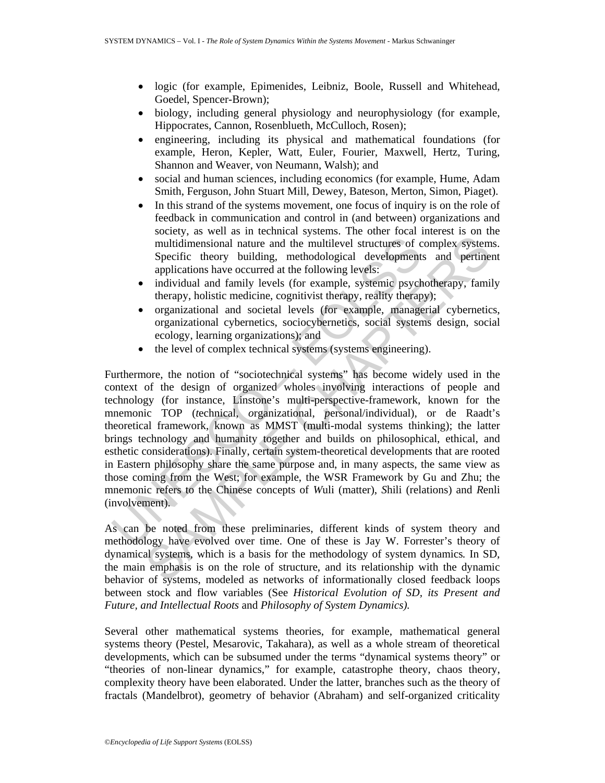- logic (for example, Epimenides, Leibniz, Boole, Russell and Whitehead, Goedel, Spencer-Brown);
- biology, including general physiology and neurophysiology (for example, Hippocrates, Cannon, Rosenblueth, McCulloch, Rosen);
- engineering, including its physical and mathematical foundations (for example, Heron, Kepler, Watt, Euler, Fourier, Maxwell, Hertz, Turing, Shannon and Weaver, von Neumann, Walsh); and
- social and human sciences, including economics (for example, Hume, Adam Smith, Ferguson, John Stuart Mill, Dewey, Bateson, Merton, Simon, Piaget).
- In this strand of the systems movement, one focus of inquiry is on the role of feedback in communication and control in (and between) organizations and society, as well as in technical systems. The other focal interest is on the multidimensional nature and the multilevel structures of complex systems. Specific theory building, methodological developments and pertinent applications have occurred at the following levels:
- individual and family levels (for example, systemic psychotherapy, family therapy, holistic medicine, cognitivist therapy, reality therapy);
- organizational and societal levels (for example, managerial cybernetics, organizational cybernetics, sociocybernetics, social systems design, social ecology, learning organizations); and
- the level of complex technical systems (systems engineering).

multidimensional nature and the multilevel structures of c<br>Specific theory building, methodological development<br>applications have occurred at the following levels:<br>• individual and family levels (for example, systemic psyc sources and the multilously material of the multilously system<br>multidimensional nature and the multilovel structures of complex system<br>Specific theory building, methodological developments and pertines<br>applications have oc Furthermore, the notion of "sociotechnical systems" has become widely used in the context of the design of organized wholes involving interactions of people and technology (for instance, Linstone's multi-perspective-framework, known for the mnemonic TOP (*t*echnical, *o*rganizational, *p*ersonal/individual), or de Raadt's theoretical framework, known as MMST (multi-modal systems thinking); the latter brings technology and humanity together and builds on philosophical, ethical, and esthetic considerations). Finally, certain system-theoretical developments that are rooted in Eastern philosophy share the same purpose and, in many aspects, the same view as those coming from the West; for example, the WSR Framework by Gu and Zhu; the mnemonic refers to the Chinese concepts of *W*uli (matter), *S*hili (relations) and *R*enli (involvement).

As can be noted from these preliminaries, different kinds of system theory and methodology have evolved over time. One of these is Jay W. Forrester's theory of dynamical systems, which is a basis for the methodology of system dynamics*.* In SD, the main emphasis is on the role of structure, and its relationship with the dynamic behavior of systems, modeled as networks of informationally closed feedback loops between stock and flow variables (See *Historical Evolution of SD, its Present and Future, and Intellectual Roots* and *Philosophy of System Dynamics).* 

Several other mathematical systems theories, for example, mathematical general systems theory (Pestel, Mesarovic, Takahara), as well as a whole stream of theoretical developments, which can be subsumed under the terms "dynamical systems theory" or "theories of non-linear dynamics," for example, catastrophe theory, chaos theory, complexity theory have been elaborated. Under the latter, branches such as the theory of fractals (Mandelbrot), geometry of behavior (Abraham) and self-organized criticality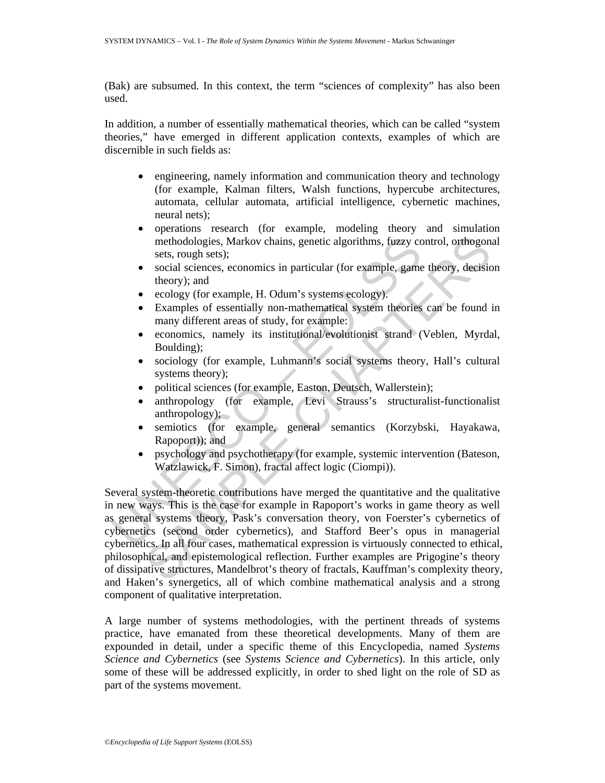(Bak) are subsumed. In this context, the term "sciences of complexity" has also been used.

In addition, a number of essentially mathematical theories, which can be called "system theories," have emerged in different application contexts, examples of which are discernible in such fields as:

- engineering, namely information and communication theory and technology (for example, Kalman filters, Walsh functions, hypercube architectures, automata, cellular automata, artificial intelligence, cybernetic machines, neural nets);
- operations research (for example, modeling theory and simulation methodologies, Markov chains, genetic algorithms, fuzzy control, orthogonal sets, rough sets);
- social sciences, economics in particular (for example, game theory, decision theory); and
- ecology (for example, H. Odum's systems ecology).
- Examples of essentially non-mathematical system theories can be found in many different areas of study, for example:
- economics, namely its institutional/evolutionist strand (Veblen, Myrdal, Boulding);
- sociology (for example, Luhmann's social systems theory, Hall's cultural systems theory);
- political sciences (for example, Easton, Deutsch, Wallerstein);
- anthropology (for example, Levi Strauss's structuralist-functionalist anthropology);
- semiotics (for example, general semantics (Korzybski, Hayakawa, Rapoport)); and
- psychology and psychotherapy (for example, systemic intervention (Bateson, Watzlawick, F. Simon), fractal affect logic (Ciompi)).

methodologies, Markov chains, genetic algorithms, fuzzy constat sciences, economics in particular (for example, game theory); and<br>theory); and<br>ecology (for example, H. Odum's systems ecology).<br>Examples of essentially non-m methodologies, Markov chains, genetic algorithms, fuzzy control, orthogons<br>sets, rough sets);<br>social sciences, economics in particular (for example, game theory, decisio<br>theory); and<br>ecology (for example, H. Odum's systems Several system-theoretic contributions have merged the quantitative and the qualitative in new ways. This is the case for example in Rapoport's works in game theory as well as general systems theory, Pask's conversation theory, von Foerster's cybernetics of cybernetics (second order cybernetics), and Stafford Beer's opus in managerial cybernetics. In all four cases, mathematical expression is virtuously connected to ethical, philosophical, and epistemological reflection. Further examples are Prigogine's theory of dissipative structures, Mandelbrot's theory of fractals, Kauffman's complexity theory, and Haken's synergetics, all of which combine mathematical analysis and a strong component of qualitative interpretation.

A large number of systems methodologies, with the pertinent threads of systems practice, have emanated from these theoretical developments. Many of them are expounded in detail, under a specific theme of this Encyclopedia, named *Systems Science and Cybernetics* (see *Systems Science and Cybernetics*). In this article, only some of these will be addressed explicitly, in order to shed light on the role of SD as part of the systems movement.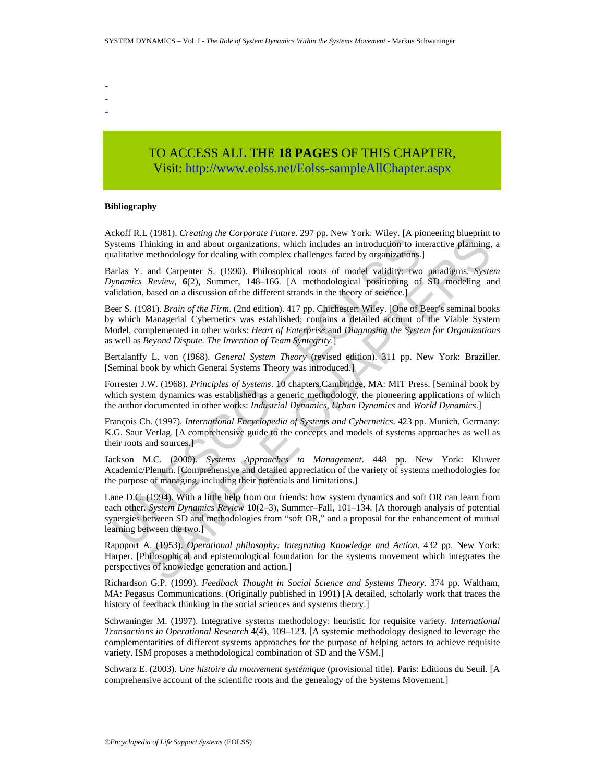- - -

# TO ACCESS ALL THE **18 PAGES** OF THIS CHAPTER, Visit: [http://www.eolss.net/Eolss-sampleAllChapter.aspx](https://www.eolss.net/ebooklib/sc_cart.aspx?File=E6-63-02-04)

#### **Bibliography**

Ackoff R.L (1981). *Creating the Corporate Future*. 297 pp. New York: Wiley. [A pioneering blueprint to Systems Thinking in and about organizations, which includes an introduction to interactive planning, a qualitative methodology for dealing with complex challenges faced by organizations.]

Barlas Y. and Carpenter S. (1990). Philosophical roots of model validity: two paradigms. *System Dynamics Review*, **6**(2), Summer, 148–166. [A methodological positioning of SD modeling and validation, based on a discussion of the different strands in the theory of science.]

Exam K.E. (1901). Clearing the Corporate rank-2.27 pp. New York. Which includes<br>the sam introduction to initiative methodology for dealing with complex challenges faced by organizations.<br>This is an Carpenter S. (1990). Phi CHOSIT: Creating the Copporation share. 257 pp. New York Tucky: To pointeeing othepinit<br>
CHOSIT: Creating and about organizations, which includes an introduction to interactive planning,<br>
methodology for dealing with comp Beer S. (1981). *Brain of the Firm*. (2nd edition). 417 pp. Chichester: Wiley. [One of Beer's seminal books by which Managerial Cybernetics was established; contains a detailed account of the Viable System Model, complemented in other works: *Heart of Enterprise* and *Diagnosing the System for Organizations*  as well as *Beyond Dispute. The Invention of Team Syntegrity*.]

Bertalanffy L. von (1968). *General System Theory* (revised edition). 311 pp. New York: Braziller. [Seminal book by which General Systems Theory was introduced.]

Forrester J.W. (1968). *Principles of Systems*. 10 chapters.Cambridge, MA: MIT Press. [Seminal book by which system dynamics was established as a generic methodology, the pioneering applications of which the author documented in other works: *Industrial Dynamics, Urban Dynamics* and *World Dynamics*.]

François Ch. (1997). *International Encyclopedia of Systems and Cybernetics*. 423 pp. Munich, Germany: K.G. Saur Verlag. [A comprehensive guide to the concepts and models of systems approaches as well as their roots and sources.]

Jackson M.C. (2000). *Systems Approaches to Management*. 448 pp. New York: Kluwer Academic/Plenum. [Comprehensive and detailed appreciation of the variety of systems methodologies for the purpose of managing, including their potentials and limitations.]

Lane D.C. (1994). With a little help from our friends: how system dynamics and soft OR can learn from each other. *System Dynamics Review* **10**(2–3), Summer–Fall, 101–134. [A thorough analysis of potential synergies between SD and methodologies from "soft OR," and a proposal for the enhancement of mutual learning between the two.]

Rapoport A. (1953). *Operational philosophy: Integrating Knowledge and Action*. 432 pp. New York: Harper. [Philosophical and epistemological foundation for the systems movement which integrates the perspectives of knowledge generation and action.]

Richardson G.P. (1999). *Feedback Thought in Social Science and Systems Theory.* 374 pp. Waltham, MA: Pegasus Communications. (Originally published in 1991) [A detailed, scholarly work that traces the history of feedback thinking in the social sciences and systems theory.]

Schwaninger M. (1997). Integrative systems methodology: heuristic for requisite variety. *International Transactions in Operational Research* **4**(4), 109–123. [A systemic methodology designed to leverage the complementarities of different systems approaches for the purpose of helping actors to achieve requisite variety. ISM proposes a methodological combination of SD and the VSM.]

Schwarz E. (2003). *Une histoire du mouvement systémique* (provisional title). Paris: Editions du Seuil. [A comprehensive account of the scientific roots and the genealogy of the Systems Movement.]